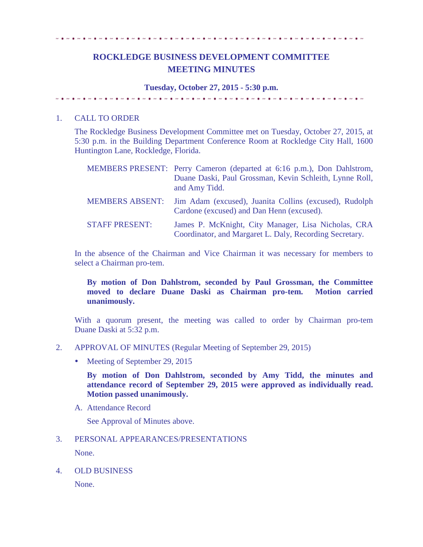# 

# **ROCKLEDGE BUSINESS DEVELOPMENT COMMITTEE MEETING MINUTES**

#### **Tuesday, October 27, 2015 - 5:30 p.m.**

#### 1. CALL TO ORDER

The Rockledge Business Development Committee met on Tuesday, October 27, 2015, at 5:30 p.m. in the Building Department Conference Room at Rockledge City Hall, 1600 Huntington Lane, Rockledge, Florida.

|                        | MEMBERS PRESENT: Perry Cameron (departed at 6:16 p.m.), Don Dahlstrom,<br>Duane Daski, Paul Grossman, Kevin Schleith, Lynne Roll,<br>and Amy Tidd. |
|------------------------|----------------------------------------------------------------------------------------------------------------------------------------------------|
| <b>MEMBERS ABSENT:</b> | Jim Adam (excused), Juanita Collins (excused), Rudolph<br>Cardone (excused) and Dan Henn (excused).                                                |
| <b>STAFF PRESENT:</b>  | James P. McKnight, City Manager, Lisa Nicholas, CRA<br>Coordinator, and Margaret L. Daly, Recording Secretary.                                     |

In the absence of the Chairman and Vice Chairman it was necessary for members to select a Chairman pro-tem.

### **By motion of Don Dahlstrom, seconded by Paul Grossman, the Committee moved to declare Duane Daski as Chairman pro-tem. Motion carried unanimously.**

With a quorum present, the meeting was called to order by Chairman pro-tem Duane Daski at 5:32 p.m.

- 2. APPROVAL OF MINUTES (Regular Meeting of September 29, 2015)
	- Meeting of September 29, 2015

**By motion of Don Dahlstrom, seconded by Amy Tidd, the minutes and attendance record of September 29, 2015 were approved as individually read. Motion passed unanimously.**

A. Attendance Record

See Approval of Minutes above.

## 3. PERSONAL APPEARANCES/PRESENTATIONS

None.

4. OLD BUSINESS

None.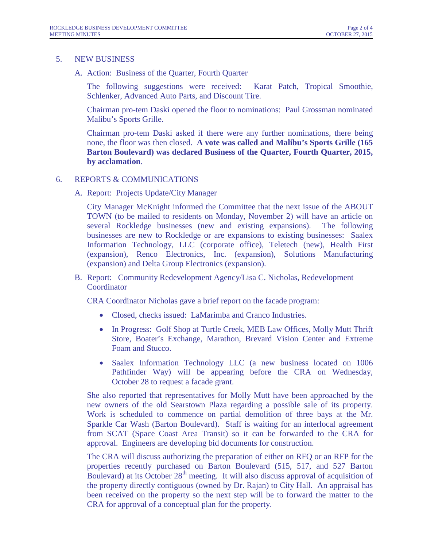#### 5. NEW BUSINESS

A. Action: Business of the Quarter, Fourth Quarter

The following suggestions were received: Karat Patch, Tropical Smoothie, Schlenker, Advanced Auto Parts, and Discount Tire.

Chairman pro-tem Daski opened the floor to nominations: Paul Grossman nominated Malibu's Sports Grille.

Chairman pro-tem Daski asked if there were any further nominations, there being none, the floor was then closed. **A vote was called and Malibu's Sports Grille (165 Barton Boulevard) was declared Business of the Quarter, Fourth Quarter, 2015, by acclamation**.

- 6. REPORTS & COMMUNICATIONS
	- A. Report: Projects Update/City Manager

City Manager McKnight informed the Committee that the next issue of the ABOUT TOWN (to be mailed to residents on Monday, November 2) will have an article on several Rockledge businesses (new and existing expansions). The following businesses are new to Rockledge or are expansions to existing businesses: Saalex Information Technology, LLC (corporate office), Teletech (new), Health First (expansion), Renco Electronics, Inc. (expansion), Solutions Manufacturing (expansion) and Delta Group Electronics (expansion).

B. Report: Community Redevelopment Agency/Lisa C. Nicholas, Redevelopment Coordinator

CRA Coordinator Nicholas gave a brief report on the facade program:

- Closed, checks issued: LaMarimba and Cranco Industries.
- In Progress: Golf Shop at Turtle Creek, MEB Law Offices, Molly Mutt Thrift Store, Boater's Exchange, Marathon, Brevard Vision Center and Extreme Foam and Stucco.
- Saalex Information Technology LLC (a new business located on 1006 Pathfinder Way) will be appearing before the CRA on Wednesday, October 28 to request a facade grant.

She also reported that representatives for Molly Mutt have been approached by the new owners of the old Searstown Plaza regarding a possible sale of its property. Work is scheduled to commence on partial demolition of three bays at the Mr. Sparkle Car Wash (Barton Boulevard). Staff is waiting for an interlocal agreement from SCAT (Space Coast Area Transit) so it can be forwarded to the CRA for approval. Engineers are developing bid documents for construction.

The CRA will discuss authorizing the preparation of either on RFQ or an RFP for the properties recently purchased on Barton Boulevard (515, 517, and 527 Barton Boulevard) at its October  $28<sup>th</sup>$  meeting. It will also discuss approval of acquisition of the property directly contiguous (owned by Dr. Rajan) to City Hall. An appraisal has been received on the property so the next step will be to forward the matter to the CRA for approval of a conceptual plan for the property.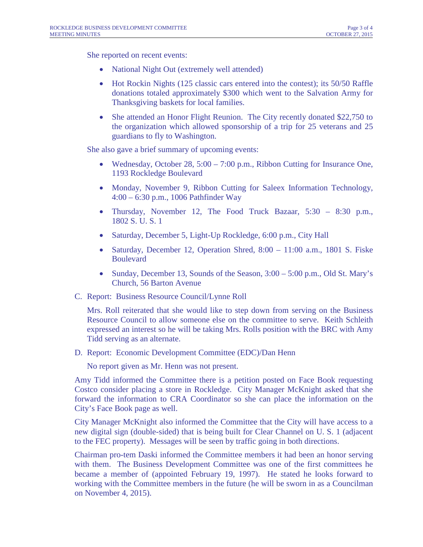She reported on recent events:

- National Night Out (extremely well attended)
- Hot Rockin Nights (125 classic cars entered into the contest); its 50/50 Raffle donations totaled approximately \$300 which went to the Salvation Army for Thanksgiving baskets for local families.
- She attended an Honor Flight Reunion. The City recently donated \$22,750 to the organization which allowed sponsorship of a trip for 25 veterans and 25 guardians to fly to Washington.

She also gave a brief summary of upcoming events:

- Wednesday, October 28,  $5:00 7:00$  p.m., Ribbon Cutting for Insurance One, 1193 Rockledge Boulevard
- Monday, November 9, Ribbon Cutting for Saleex Information Technology, 4:00 – 6:30 p.m., 1006 Pathfinder Way
- Thursday, November 12, The Food Truck Bazaar, 5:30 8:30 p.m., 1802 S. U. S. 1
- Saturday, December 5, Light-Up Rockledge, 6:00 p.m., City Hall
- Saturday, December 12, Operation Shred, 8:00 11:00 a.m., 1801 S. Fiske Boulevard
- Sunday, December 13, Sounds of the Season,  $3:00 5:00$  p.m., Old St. Mary's Church, 56 Barton Avenue
- C. Report: Business Resource Council/Lynne Roll

Mrs. Roll reiterated that she would like to step down from serving on the Business Resource Council to allow someone else on the committee to serve. Keith Schleith expressed an interest so he will be taking Mrs. Rolls position with the BRC with Amy Tidd serving as an alternate.

D. Report: Economic Development Committee (EDC)/Dan Henn

No report given as Mr. Henn was not present.

Amy Tidd informed the Committee there is a petition posted on Face Book requesting Costco consider placing a store in Rockledge. City Manager McKnight asked that she forward the information to CRA Coordinator so she can place the information on the City's Face Book page as well.

City Manager McKnight also informed the Committee that the City will have access to a new digital sign (double-sided) that is being built for Clear Channel on U. S. 1 (adjacent to the FEC property). Messages will be seen by traffic going in both directions.

Chairman pro-tem Daski informed the Committee members it had been an honor serving with them. The Business Development Committee was one of the first committees he became a member of (appointed February 19, 1997). He stated he looks forward to working with the Committee members in the future (he will be sworn in as a Councilman on November 4, 2015).